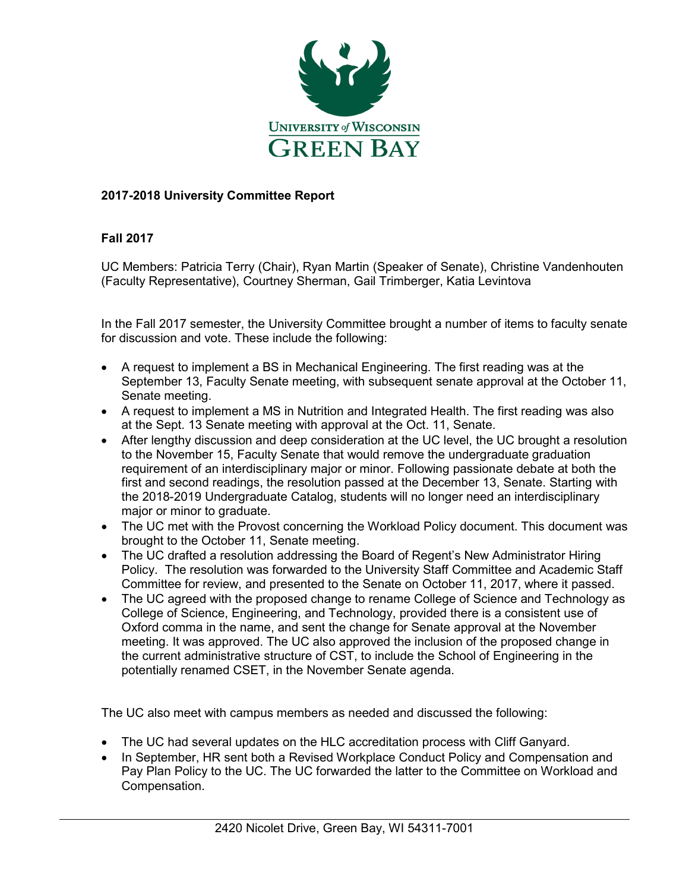

## **2017-2018 University Committee Report**

## **Fall 2017**

UC Members: Patricia Terry (Chair), Ryan Martin (Speaker of Senate), Christine Vandenhouten (Faculty Representative), Courtney Sherman, Gail Trimberger, Katia Levintova

In the Fall 2017 semester, the University Committee brought a number of items to faculty senate for discussion and vote. These include the following:

- A request to implement a BS in Mechanical Engineering. The first reading was at the September 13, Faculty Senate meeting, with subsequent senate approval at the October 11, Senate meeting.
- A request to implement a MS in Nutrition and Integrated Health. The first reading was also at the Sept. 13 Senate meeting with approval at the Oct. 11, Senate.
- After lengthy discussion and deep consideration at the UC level, the UC brought a resolution to the November 15, Faculty Senate that would remove the undergraduate graduation requirement of an interdisciplinary major or minor. Following passionate debate at both the first and second readings, the resolution passed at the December 13, Senate. Starting with the 2018-2019 Undergraduate Catalog, students will no longer need an interdisciplinary major or minor to graduate.
- The UC met with the Provost concerning the Workload Policy document. This document was brought to the October 11, Senate meeting.
- The UC drafted a resolution addressing the Board of Regent's New Administrator Hiring Policy. The resolution was forwarded to the University Staff Committee and Academic Staff Committee for review, and presented to the Senate on October 11, 2017, where it passed.
- The UC agreed with the proposed change to rename College of Science and Technology as College of Science, Engineering, and Technology, provided there is a consistent use of Oxford comma in the name, and sent the change for Senate approval at the November meeting. It was approved. The UC also approved the inclusion of the proposed change in the current administrative structure of CST, to include the School of Engineering in the potentially renamed CSET, in the November Senate agenda.

The UC also meet with campus members as needed and discussed the following:

- The UC had several updates on the HLC accreditation process with Cliff Ganyard.
- In September, HR sent both a Revised Workplace Conduct Policy and Compensation and Pay Plan Policy to the UC. The UC forwarded the latter to the Committee on Workload and Compensation.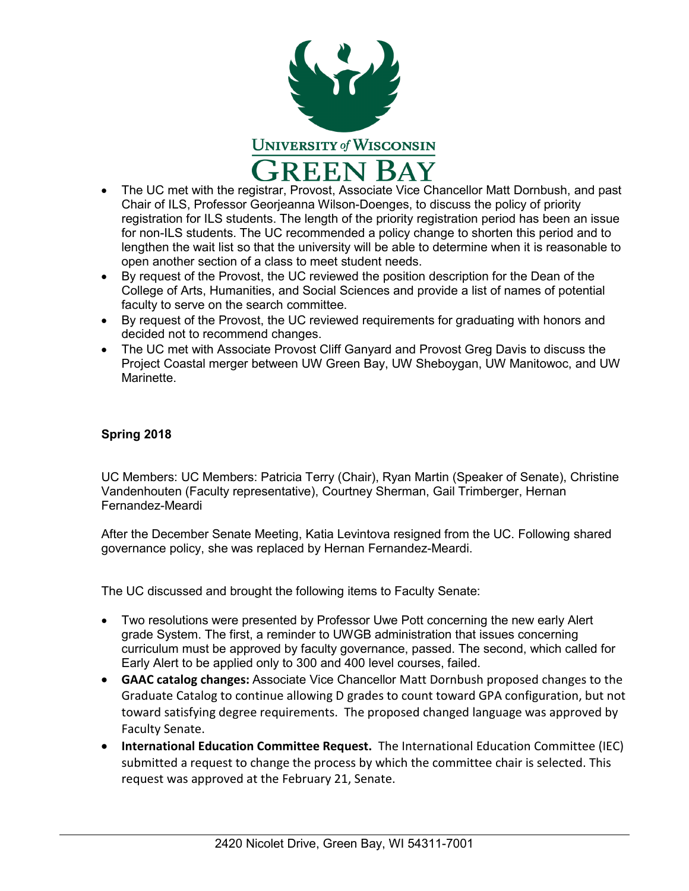

- The UC met with the registrar, Provost, Associate Vice Chancellor Matt Dornbush, and past Chair of ILS, Professor Georjeanna Wilson-Doenges, to discuss the policy of priority registration for ILS students. The length of the priority registration period has been an issue for non-ILS students. The UC recommended a policy change to shorten this period and to lengthen the wait list so that the university will be able to determine when it is reasonable to open another section of a class to meet student needs.
- By request of the Provost, the UC reviewed the position description for the Dean of the College of Arts, Humanities, and Social Sciences and provide a list of names of potential faculty to serve on the search committee.
- By request of the Provost, the UC reviewed requirements for graduating with honors and decided not to recommend changes.
- The UC met with Associate Provost Cliff Ganyard and Provost Greg Davis to discuss the Project Coastal merger between UW Green Bay, UW Sheboygan, UW Manitowoc, and UW Marinette.

## **Spring 2018**

UC Members: UC Members: Patricia Terry (Chair), Ryan Martin (Speaker of Senate), Christine Vandenhouten (Faculty representative), Courtney Sherman, Gail Trimberger, Hernan Fernandez-Meardi

After the December Senate Meeting, Katia Levintova resigned from the UC. Following shared governance policy, she was replaced by Hernan Fernandez-Meardi.

The UC discussed and brought the following items to Faculty Senate:

- Two resolutions were presented by Professor Uwe Pott concerning the new early Alert grade System. The first, a reminder to UWGB administration that issues concerning curriculum must be approved by faculty governance, passed. The second, which called for Early Alert to be applied only to 300 and 400 level courses, failed.
- **GAAC catalog changes:** Associate Vice Chancellor Matt Dornbush proposed changes to the Graduate Catalog to continue allowing D grades to count toward GPA configuration, but not toward satisfying degree requirements. The proposed changed language was approved by Faculty Senate.
- **International Education Committee Request.** The International Education Committee (IEC) submitted a request to change the process by which the committee chair is selected. This request was approved at the February 21, Senate.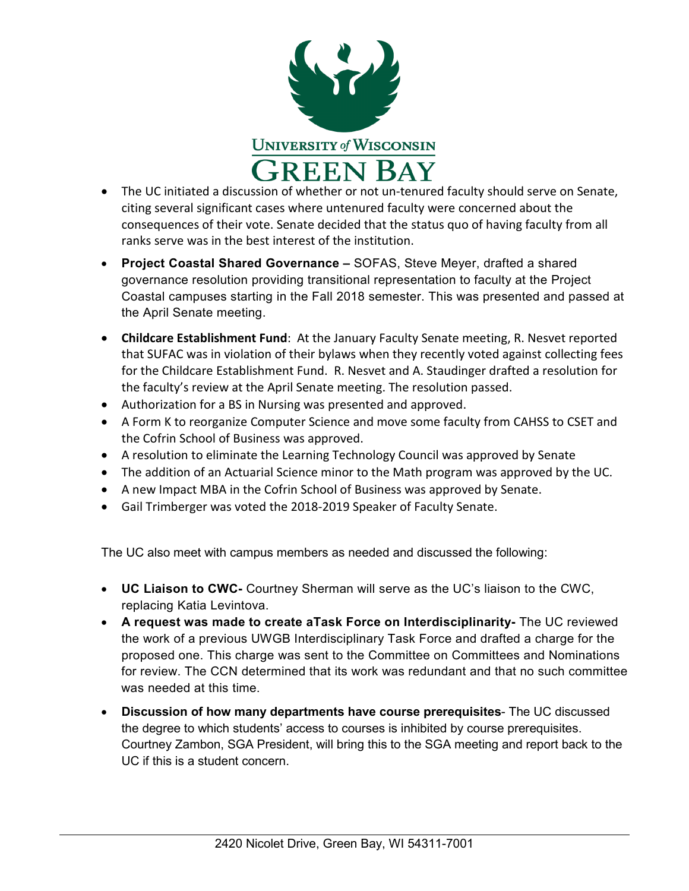

- The UC initiated a discussion of whether or not un-tenured faculty should serve on Senate, citing several significant cases where untenured faculty were concerned about the consequences of their vote. Senate decided that the status quo of having faculty from all ranks serve was in the best interest of the institution.
- **Project Coastal Shared Governance –** SOFAS, Steve Meyer, drafted a shared governance resolution providing transitional representation to faculty at the Project Coastal campuses starting in the Fall 2018 semester. This was presented and passed at the April Senate meeting.
- **Childcare Establishment Fund**: At the January Faculty Senate meeting, R. Nesvet reported that SUFAC was in violation of their bylaws when they recently voted against collecting fees for the Childcare Establishment Fund. R. Nesvet and A. Staudinger drafted a resolution for the faculty's review at the April Senate meeting. The resolution passed.
- Authorization for a BS in Nursing was presented and approved.
- A Form K to reorganize Computer Science and move some faculty from CAHSS to CSET and the Cofrin School of Business was approved.
- A resolution to eliminate the Learning Technology Council was approved by Senate
- The addition of an Actuarial Science minor to the Math program was approved by the UC.
- A new Impact MBA in the Cofrin School of Business was approved by Senate.
- Gail Trimberger was voted the 2018-2019 Speaker of Faculty Senate.

The UC also meet with campus members as needed and discussed the following:

- **UC Liaison to CWC-** Courtney Sherman will serve as the UC's liaison to the CWC, replacing Katia Levintova.
- **A request was made to create aTask Force on Interdisciplinarity-** The UC reviewed the work of a previous UWGB Interdisciplinary Task Force and drafted a charge for the proposed one. This charge was sent to the Committee on Committees and Nominations for review. The CCN determined that its work was redundant and that no such committee was needed at this time.
- **Discussion of how many departments have course prerequisites** The UC discussed the degree to which students' access to courses is inhibited by course prerequisites. Courtney Zambon, SGA President, will bring this to the SGA meeting and report back to the UC if this is a student concern.